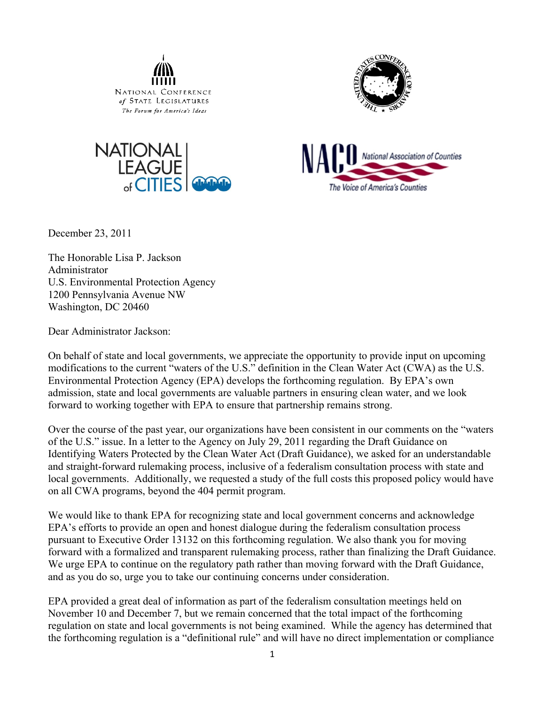







December 23, 2011

The Honorable Lisa P. Jackson Administrator U.S. Environmental Protection Agency 1200 Pennsylvania Avenue NW Washington, DC 20460

Dear Administrator Jackson:

On behalf of state and local governments, we appreciate the opportunity to provide input on upcoming modifications to the current "waters of the U.S." definition in the Clean Water Act (CWA) as the U.S. Environmental Protection Agency (EPA) develops the forthcoming regulation. By EPA's own admission, state and local governments are valuable partners in ensuring clean water, and we look forward to working together with EPA to ensure that partnership remains strong.

Over the course of the past year, our organizations have been consistent in our comments on the "waters of the U.S." issue. In a letter to the Agency on July 29, 2011 regarding the Draft Guidance on Identifying Waters Protected by the Clean Water Act (Draft Guidance), we asked for an understandable and straight-forward rulemaking process, inclusive of a federalism consultation process with state and local governments. Additionally, we requested a study of the full costs this proposed policy would have on all CWA programs, beyond the 404 permit program.

We would like to thank EPA for recognizing state and local government concerns and acknowledge EPA's efforts to provide an open and honest dialogue during the federalism consultation process pursuant to Executive Order 13132 on this forthcoming regulation. We also thank you for moving forward with a formalized and transparent rulemaking process, rather than finalizing the Draft Guidance. We urge EPA to continue on the regulatory path rather than moving forward with the Draft Guidance, and as you do so, urge you to take our continuing concerns under consideration.

EPA provided a great deal of information as part of the federalism consultation meetings held on November 10 and December 7, but we remain concerned that the total impact of the forthcoming regulation on state and local governments is not being examined. While the agency has determined that the forthcoming regulation is a "definitional rule" and will have no direct implementation or compliance